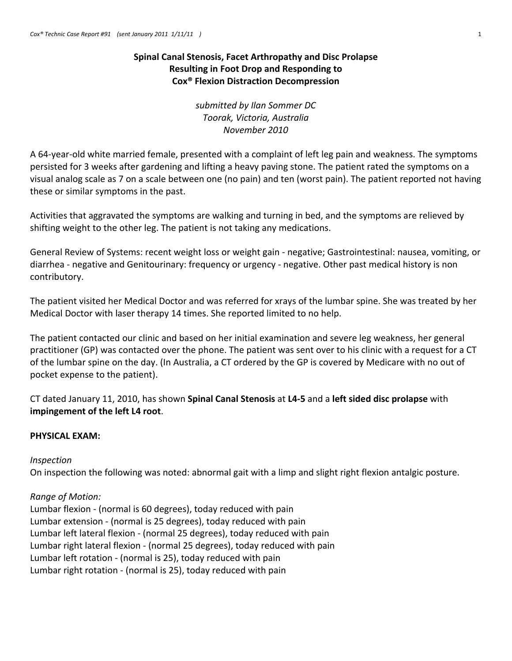# **Spinal Canal Stenosis, Facet Arthropathy and Disc Prolapse Resulting in Foot Drop and Responding to Cox® Flexion Distraction Decompression**

*submitted by Ilan Sommer DC Toorak, Victoria, Australia November 2010*

A 64‐year‐old white married female, presented with a complaint of left leg pain and weakness. The symptoms persisted for 3 weeks after gardening and lifting a heavy paving stone. The patient rated the symptoms on a visual analog scale as 7 on a scale between one (no pain) and ten (worst pain). The patient reported not having these or similar symptoms in the past.

Activities that aggravated the symptoms are walking and turning in bed, and the symptoms are relieved by shifting weight to the other leg. The patient is not taking any medications.

General Review of Systems: recent weight loss or weight gain ‐ negative; Gastrointestinal: nausea, vomiting, or diarrhea ‐ negative and Genitourinary: frequency or urgency ‐ negative. Other past medical history is non contributory.

The patient visited her Medical Doctor and was referred for xrays of the lumbar spine. She was treated by her Medical Doctor with laser therapy 14 times. She reported limited to no help.

The patient contacted our clinic and based on her initial examination and severe leg weakness, her general practitioner (GP) was contacted over the phone. The patient was sent over to his clinic with a request for a CT of the lumbar spine on the day. (In Australia, a CT ordered by the GP is covered by Medicare with no out of pocket expense to the patient).

CT dated January 11, 2010, has shown **Spinal Canal Stenosis** at **L4‐5** and a **left sided disc prolapse** with **impingement of the left L4 root**.

# **PHYSICAL EXAM:**

# *Inspection*

On inspection the following was noted: abnormal gait with a limp and slight right flexion antalgic posture.

# *Range of Motion:*

Lumbar flexion ‐ (normal is 60 degrees), today reduced with pain Lumbar extension ‐ (normal is 25 degrees), today reduced with pain Lumbar left lateral flexion ‐ (normal 25 degrees), today reduced with pain Lumbar right lateral flexion ‐ (normal 25 degrees), today reduced with pain Lumbar left rotation ‐ (normal is 25), today reduced with pain Lumbar right rotation ‐ (normal is 25), today reduced with pain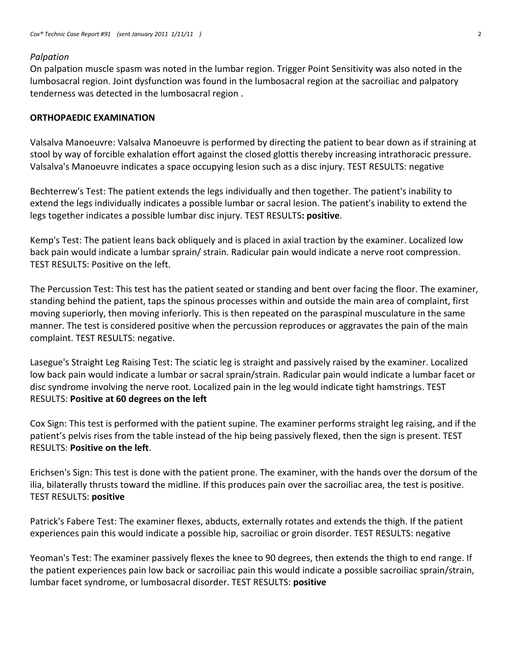#### *Palpation*

On palpation muscle spasm was noted in the lumbar region. Trigger Point Sensitivity was also noted in the lumbosacral region. Joint dysfunction was found in the lumbosacral region at the sacroiliac and palpatory tenderness was detected in the lumbosacral region .

#### **ORTHOPAEDIC EXAMINATION**

Valsalva Manoeuvre: Valsalva Manoeuvre is performed by directing the patient to bear down as if straining at stool by way of forcible exhalation effort against the closed glottis thereby increasing intrathoracic pressure. Valsalva's Manoeuvre indicates a space occupying lesion such as a disc injury. TEST RESULTS: negative

Bechterrew's Test: The patient extends the legs individually and then together. The patient's inability to extend the legs individually indicates a possible lumbar or sacral lesion. The patient's inability to extend the legs together indicates a possible lumbar disc injury. TEST RESULTS**: positive**.

Kemp's Test: The patient leans back obliquely and is placed in axial traction by the examiner. Localized low back pain would indicate a lumbar sprain/ strain. Radicular pain would indicate a nerve root compression. TEST RESULTS: Positive on the left.

The Percussion Test: This test has the patient seated or standing and bent over facing the floor. The examiner, standing behind the patient, taps the spinous processes within and outside the main area of complaint, first moving superiorly, then moving inferiorly. This is then repeated on the paraspinal musculature in the same manner. The test is considered positive when the percussion reproduces or aggravates the pain of the main complaint. TEST RESULTS: negative.

Lasegue's Straight Leg Raising Test: The sciatic leg is straight and passively raised by the examiner. Localized low back pain would indicate a lumbar or sacral sprain/strain. Radicular pain would indicate a lumbar facet or disc syndrome involving the nerve root. Localized pain in the leg would indicate tight hamstrings. TEST RESULTS: **Positive at 60 degrees on the left**

Cox Sign: This test is performed with the patient supine. The examiner performs straight leg raising, and if the patient's pelvis rises from the table instead of the hip being passively flexed, then the sign is present. TEST RESULTS: **Positive on the left**.

Erichsen's Sign: This test is done with the patient prone. The examiner, with the hands over the dorsum of the ilia, bilaterally thrusts toward the midline. If this produces pain over the sacroiliac area, the test is positive. TEST RESULTS: **positive**

Patrick's Fabere Test: The examiner flexes, abducts, externally rotates and extends the thigh. If the patient experiences pain this would indicate a possible hip, sacroiliac or groin disorder. TEST RESULTS: negative

Yeoman's Test: The examiner passively flexes the knee to 90 degrees, then extends the thigh to end range. If the patient experiences pain low back or sacroiliac pain this would indicate a possible sacroiliac sprain/strain, lumbar facet syndrome, or lumbosacral disorder. TEST RESULTS: **positive**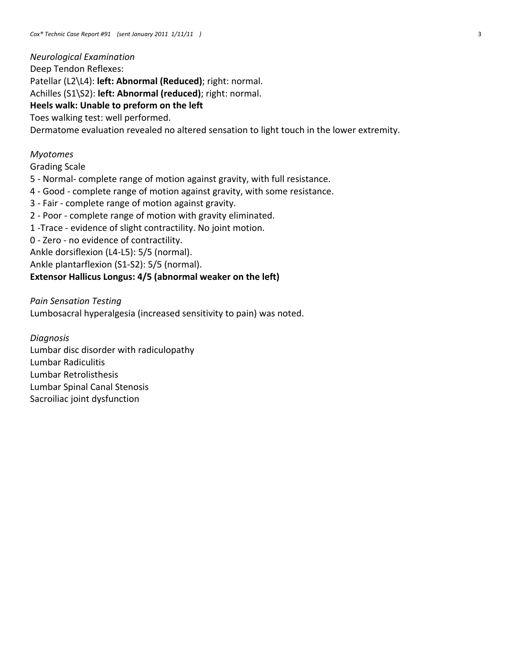*Neurological Examination* Deep Tendon Reflexes: Patellar (L2\L4): **left: Abnormal (Reduced)**; right: normal. Achilles (S1\S2): **left: Abnormal (reduced)**; right: normal. **Heels walk: Unable to preform on the left** Toes walking test: well performed. Dermatome evaluation revealed no altered sensation to light touch in the lower extremity.

## *Myotomes*

## Grading Scale

- 5 ‐ Normal‐ complete range of motion against gravity, with full resistance.
- 4 ‐ Good ‐ complete range of motion against gravity, with some resistance.
- 3 ‐ Fair ‐ complete range of motion against gravity.
- 2 ‐ Poor ‐ complete range of motion with gravity eliminated.
- 1 ‐Trace ‐ evidence of slight contractility. No joint motion.
- 0 ‐ Zero ‐ no evidence of contractility.
- Ankle dorsiflexion (L4‐L5): 5/5 (normal).

Ankle plantarflexion (S1‐S2): 5/5 (normal).

## **Extensor Hallicus Longus: 4/5 (abnormal weaker on the left)**

#### *Pain Sensation Testing*

Lumbosacral hyperalgesia (increased sensitivity to pain) was noted.

*Diagnosis* Lumbar disc disorder with radiculopathy Lumbar Radiculitis Lumbar Retrolisthesis Lumbar Spinal Canal Stenosis Sacroiliac joint dysfunction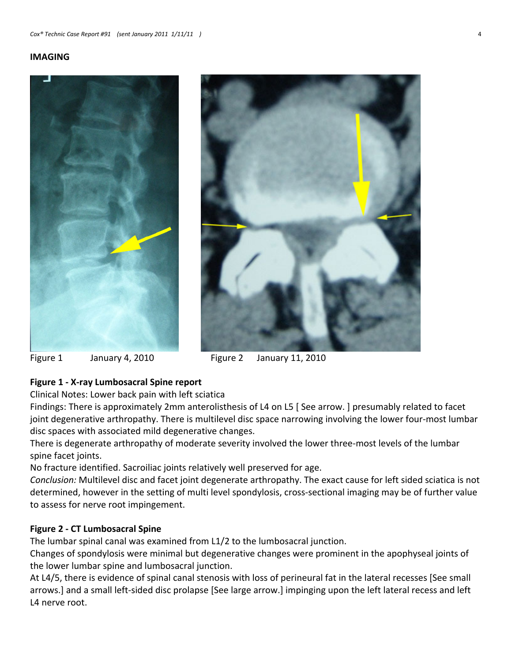#### **IMAGING**





# **Figure 1 ‐ X‐ray Lumbosacral Spine report**

Clinical Notes: Lower back pain with left sciatica

Findings: There is approximately 2mm anterolisthesis of L4 on L5 [ See arrow. ] presumably related to facet joint degenerative arthropathy. There is multilevel disc space narrowing involving the lower four-most lumbar disc spaces with associated mild degenerative changes.

There is degenerate arthropathy of moderate severity involved the lower three‐most levels of the lumbar spine facet joints.

No fracture identified. Sacroiliac joints relatively well preserved for age.

*Conclusion:* Multilevel disc and facet joint degenerate arthropathy. The exact cause for left sided sciatica is not determined, however in the setting of multi level spondylosis, cross‐sectional imaging may be of further value to assess for nerve root impingement.

## **Figure 2 ‐ CT Lumbosacral Spine**

The lumbar spinal canal was examined from L1/2 to the lumbosacral junction.

Changes of spondylosis were minimal but degenerative changes were prominent in the apophyseal joints of the lower lumbar spine and lumbosacral junction.

At L4/5, there is evidence of spinal canal stenosis with loss of perineural fat in the lateral recesses [See small arrows.] and a small left‐sided disc prolapse [See large arrow.] impinging upon the left lateral recess and left L4 nerve root.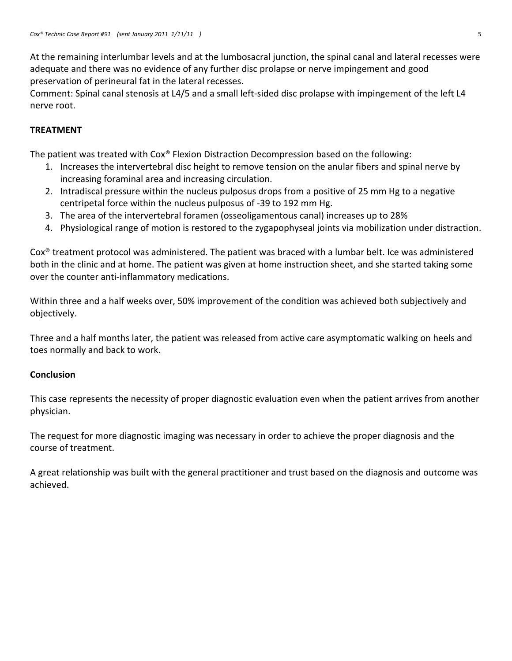At the remaining interlumbar levels and at the lumbosacral junction, the spinal canal and lateral recesses were adequate and there was no evidence of any further disc prolapse or nerve impingement and good preservation of perineural fat in the lateral recesses.

Comment: Spinal canal stenosis at L4/5 and a small left‐sided disc prolapse with impingement of the left L4 nerve root.

# **TREATMENT**

The patient was treated with Cox® Flexion Distraction Decompression based on the following:

- 1. Increases the intervertebral disc height to remove tension on the anular fibers and spinal nerve by increasing foraminal area and increasing circulation.
- 2. Intradiscal pressure within the nucleus pulposus drops from a positive of 25 mm Hg to a negative centripetal force within the nucleus pulposus of ‐39 to 192 mm Hg.
- 3. The area of the intervertebral foramen (osseoligamentous canal) increases up to 28%
- 4. Physiological range of motion is restored to the zygapophyseal joints via mobilization under distraction.

Cox® treatment protocol was administered. The patient was braced with a lumbar belt. Ice was administered both in the clinic and at home. The patient was given at home instruction sheet, and she started taking some over the counter anti‐inflammatory medications.

Within three and a half weeks over, 50% improvement of the condition was achieved both subjectively and objectively.

Three and a half months later, the patient was released from active care asymptomatic walking on heels and toes normally and back to work.

## **Conclusion**

This case represents the necessity of proper diagnostic evaluation even when the patient arrives from another physician.

The request for more diagnostic imaging was necessary in order to achieve the proper diagnosis and the course of treatment.

A great relationship was built with the general practitioner and trust based on the diagnosis and outcome was achieved.